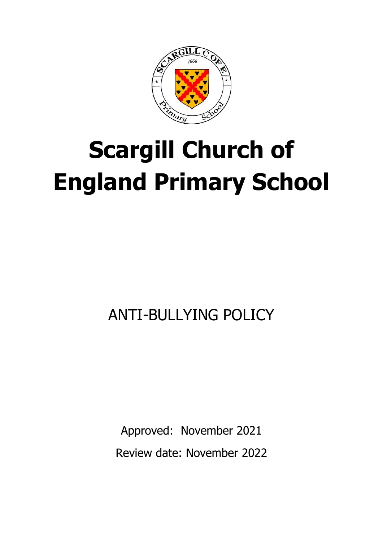

# **Scargill Church of England Primary School**

# ANTI-BULLYING POLICY

Approved: November 2021 Review date: November 2022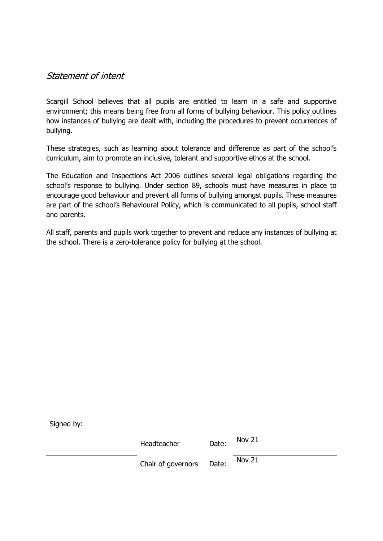#### Statement of intent

Scargill School believes that all pupils are entitled to learn in a safe and supportive environment; this means being free from all forms of bullying behaviour. This policy outlines how instances of bullying are dealt with, including the procedures to prevent occurrences of bullying.

These strategies, such as learning about tolerance and difference as part of the school's curriculum, aim to promote an inclusive, tolerant and supportive ethos at the school.

The Education and Inspections Act 2006 outlines several legal obligations regarding the school's response to bullying. Under section 89, schools must have measures in place to encourage good behaviour and prevent all forms of bullying amongst pupils. These measures are part of the school's Behavioural Policy, which is communicated to all pupils, school staff and parents.

All staff, parents and pupils work together to prevent and reduce any instances of bullying at the school. There is a zero-tolerance policy for bullying at the school.

| Signed by: |                          |       |        |
|------------|--------------------------|-------|--------|
|            | Headteacher              | Date: | Nov 21 |
|            | Chair of governors Date: |       | Nov 21 |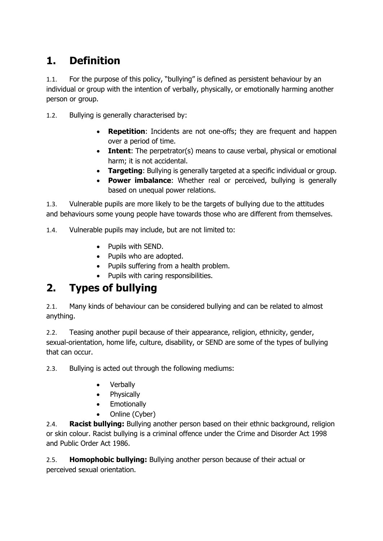### **1. Definition**

1.1. For the purpose of this policy, "bullying" is defined as persistent behaviour by an individual or group with the intention of verbally, physically, or emotionally harming another person or group.

1.2. Bullying is generally characterised by:

- **Repetition**: Incidents are not one-offs; they are frequent and happen over a period of time.
- **Intent**: The perpetrator(s) means to cause verbal, physical or emotional harm; it is not accidental.
- **Targeting**: Bullying is generally targeted at a specific individual or group.
- **Power imbalance**: Whether real or perceived, bullying is generally based on unequal power relations.

1.3. Vulnerable pupils are more likely to be the targets of bullying due to the attitudes and behaviours some young people have towards those who are different from themselves.

1.4. Vulnerable pupils may include, but are not limited to:

- Pupils with SEND.
- Pupils who are adopted.
- Pupils suffering from a health problem.
- Pupils with caring responsibilities.

#### **2. Types of bullying**

2.1. Many kinds of behaviour can be considered bullying and can be related to almost anything.

2.2. Teasing another pupil because of their appearance, religion, ethnicity, gender, sexual-orientation, home life, culture, disability, or SEND are some of the types of bullying that can occur.

2.3. Bullying is acted out through the following mediums:

- Verbally
- Physically
- Emotionally
- Online (Cyber)

2.4. **Racist bullying:** Bullying another person based on their ethnic background, religion or skin colour. Racist bullying is a criminal offence under the Crime and Disorder Act 1998 and Public Order Act 1986.

2.5. **Homophobic bullying:** Bullying another person because of their actual or perceived sexual orientation.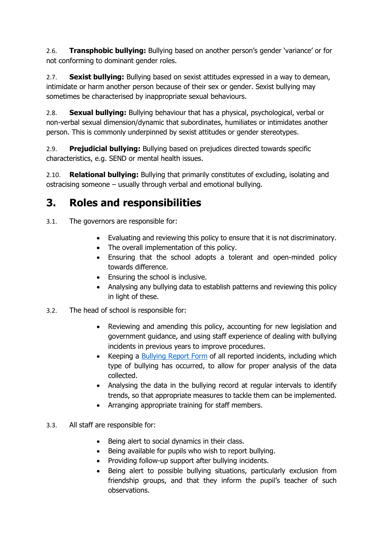2.6. **Transphobic bullying:** Bullying based on another person's gender 'variance' or for not conforming to dominant gender roles.

2.7. **Sexist bullying:** Bullying based on sexist attitudes expressed in a way to demean, intimidate or harm another person because of their sex or gender. Sexist bullying may sometimes be characterised by inappropriate sexual behaviours.

2.8. **Sexual bullying:** Bullying behaviour that has a physical, psychological, verbal or non-verbal sexual dimension/dynamic that subordinates, humiliates or intimidates another person. This is commonly underpinned by sexist attitudes or gender stereotypes.

2.9. **Prejudicial bullying:** Bullying based on prejudices directed towards specific characteristics, e.g. SEND or mental health issues.

2.10. **Relational bullying:** Bullying that primarily constitutes of excluding, isolating and ostracising someone – usually through verbal and emotional bullying.

#### **3. Roles and responsibilities**

- 3.1. The governors are responsible for:
	- Evaluating and reviewing this policy to ensure that it is not discriminatory.
	- The overall implementation of this policy.
	- Ensuring that the school adopts a tolerant and open-minded policy towards difference.
	- Ensuring the school is inclusive.
	- Analysing any bullying data to establish patterns and reviewing this policy in light of these.
- 3.2. The head of school is responsible for:
	- Reviewing and amending this policy, accounting for new legislation and government guidance, and using staff experience of dealing with bullying incidents in previous years to improve procedures.
	- Keeping a [Bullying Report Form](https://scargill-my.sharepoint.com/personal/trhodes_scargill_derbyshire_sch_uk/Documents/Tricia%20-%20current/Governors/LGB%20Meeting%2026th%20November%202020/anti%20bullying%20policy%202020.doc#_Bullying_Report_Form) of all reported incidents, including which type of bullying has occurred, to allow for proper analysis of the data collected.
	- Analysing the data in the bullying record at regular intervals to identify trends, so that appropriate measures to tackle them can be implemented.
	- Arranging appropriate training for staff members.
- 3.3. All staff are responsible for:
	- Being alert to social dynamics in their class.
	- Being available for pupils who wish to report bullying.
	- Providing follow-up support after bullying incidents.
	- Being alert to possible bullying situations, particularly exclusion from friendship groups, and that they inform the pupil's teacher of such observations.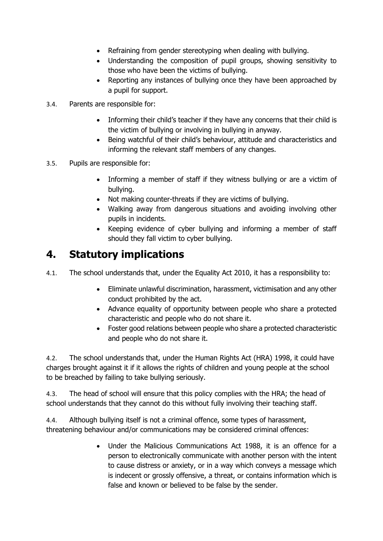- Refraining from gender stereotyping when dealing with bullying.
- Understanding the composition of pupil groups, showing sensitivity to those who have been the victims of bullying.
- Reporting any instances of bullying once they have been approached by a pupil for support.
- 3.4. Parents are responsible for:
	- Informing their child's teacher if they have any concerns that their child is the victim of bullying or involving in bullying in anyway.
	- Being watchful of their child's behaviour, attitude and characteristics and informing the relevant staff members of any changes.
- 3.5. Pupils are responsible for:
	- Informing a member of staff if they witness bullying or are a victim of bullying.
	- Not making counter-threats if they are victims of bullying.
	- Walking away from dangerous situations and avoiding involving other pupils in incidents.
	- Keeping evidence of cyber bullying and informing a member of staff should they fall victim to cyber bullying.

#### **4. Statutory implications**

4.1. The school understands that, under the Equality Act 2010, it has a responsibility to:

- Eliminate unlawful discrimination, harassment, victimisation and any other conduct prohibited by the act.
- Advance equality of opportunity between people who share a protected characteristic and people who do not share it.
- Foster good relations between people who share a protected characteristic and people who do not share it.

4.2. The school understands that, under the Human Rights Act (HRA) 1998, it could have charges brought against it if it allows the rights of children and young people at the school to be breached by failing to take bullying seriously.

4.3. The head of school will ensure that this policy complies with the HRA; the head of school understands that they cannot do this without fully involving their teaching staff.

4.4. Although bullying itself is not a criminal offence, some types of harassment, threatening behaviour and/or communications may be considered criminal offences:

> • Under the Malicious Communications Act 1988, it is an offence for a person to electronically communicate with another person with the intent to cause distress or anxiety, or in a way which conveys a message which is indecent or grossly offensive, a threat, or contains information which is false and known or believed to be false by the sender.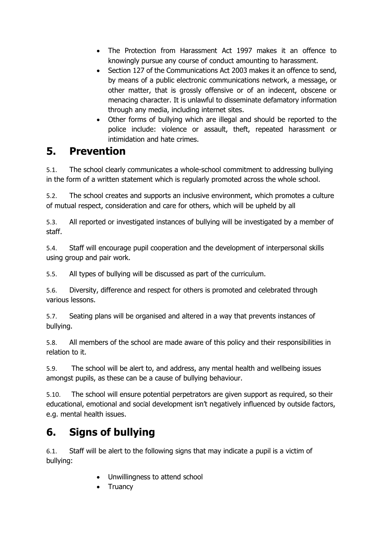- The Protection from Harassment Act 1997 makes it an offence to knowingly pursue any course of conduct amounting to harassment.
- Section 127 of the Communications Act 2003 makes it an offence to send, by means of a public electronic communications network, a message, or other matter, that is grossly offensive or of an indecent, obscene or menacing character. It is unlawful to disseminate defamatory information through any media, including internet sites.
- Other forms of bullying which are illegal and should be reported to the police include: violence or assault, theft, repeated harassment or intimidation and hate crimes.

#### **5. Prevention**

5.1. The school clearly communicates a whole-school commitment to addressing bullying in the form of a written statement which is regularly promoted across the whole school.

5.2. The school creates and supports an inclusive environment, which promotes a culture of mutual respect, consideration and care for others, which will be upheld by all

5.3. All reported or investigated instances of bullying will be investigated by a member of staff.

5.4. Staff will encourage pupil cooperation and the development of interpersonal skills using group and pair work.

5.5. All types of bullying will be discussed as part of the curriculum.

5.6. Diversity, difference and respect for others is promoted and celebrated through various lessons.

5.7. Seating plans will be organised and altered in a way that prevents instances of bullying.

5.8. All members of the school are made aware of this policy and their responsibilities in relation to it.

5.9. The school will be alert to, and address, any mental health and wellbeing issues amongst pupils, as these can be a cause of bullying behaviour.

5.10. The school will ensure potential perpetrators are given support as required, so their educational, emotional and social development isn't negatively influenced by outside factors, e.g. mental health issues.

#### **6. Signs of bullying**

6.1. Staff will be alert to the following signs that may indicate a pupil is a victim of bullying:

- Unwillingness to attend school
- Truancy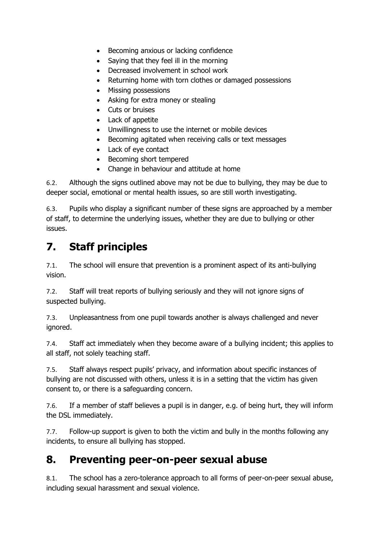- Becoming anxious or lacking confidence
- Saying that they feel ill in the morning
- Decreased involvement in school work
- Returning home with torn clothes or damaged possessions
- Missing possessions
- Asking for extra money or stealing
- Cuts or bruises
- Lack of appetite
- Unwillingness to use the internet or mobile devices
- Becoming agitated when receiving calls or text messages
- Lack of eye contact
- Becoming short tempered
- Change in behaviour and attitude at home

6.2. Although the signs outlined above may not be due to bullying, they may be due to deeper social, emotional or mental health issues, so are still worth investigating.

6.3. Pupils who display a significant number of these signs are approached by a member of staff, to determine the underlying issues, whether they are due to bullying or other issues.

### **7. Staff principles**

7.1. The school will ensure that prevention is a prominent aspect of its anti-bullying vision.

7.2. Staff will treat reports of bullying seriously and they will not ignore signs of suspected bullying.

7.3. Unpleasantness from one pupil towards another is always challenged and never ignored.

7.4. Staff act immediately when they become aware of a bullying incident; this applies to all staff, not solely teaching staff.

7.5. Staff always respect pupils' privacy, and information about specific instances of bullying are not discussed with others, unless it is in a setting that the victim has given consent to, or there is a safeguarding concern.

7.6. If a member of staff believes a pupil is in danger, e.g. of being hurt, they will inform the DSL immediately.

7.7. Follow-up support is given to both the victim and bully in the months following any incidents, to ensure all bullying has stopped.

#### **8. Preventing peer-on-peer sexual abuse**

8.1. The school has a zero-tolerance approach to all forms of peer-on-peer sexual abuse, including sexual harassment and sexual violence.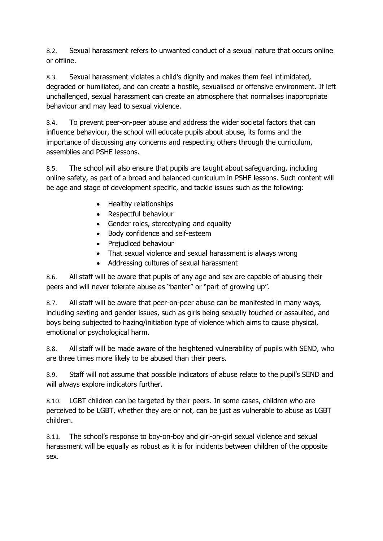8.2. Sexual harassment refers to unwanted conduct of a sexual nature that occurs online or offline.

8.3. Sexual harassment violates a child's dignity and makes them feel intimidated, degraded or humiliated, and can create a hostile, sexualised or offensive environment. If left unchallenged, sexual harassment can create an atmosphere that normalises inappropriate behaviour and may lead to sexual violence.

8.4. To prevent peer-on-peer abuse and address the wider societal factors that can influence behaviour, the school will educate pupils about abuse, its forms and the importance of discussing any concerns and respecting others through the curriculum, assemblies and PSHE lessons.

8.5. The school will also ensure that pupils are taught about safeguarding, including online safety, as part of a broad and balanced curriculum in PSHE lessons. Such content will be age and stage of development specific, and tackle issues such as the following:

- Healthy relationships
- Respectful behaviour
- Gender roles, stereotyping and equality
- Body confidence and self-esteem
- Prejudiced behaviour
- That sexual violence and sexual harassment is always wrong
- Addressing cultures of sexual harassment

8.6. All staff will be aware that pupils of any age and sex are capable of abusing their peers and will never tolerate abuse as "banter" or "part of growing up".

8.7. All staff will be aware that peer-on-peer abuse can be manifested in many ways, including sexting and gender issues, such as girls being sexually touched or assaulted, and boys being subjected to hazing/initiation type of violence which aims to cause physical, emotional or psychological harm.

8.8. All staff will be made aware of the heightened vulnerability of pupils with SEND, who are three times more likely to be abused than their peers.

8.9. Staff will not assume that possible indicators of abuse relate to the pupil's SEND and will always explore indicators further.

8.10. LGBT children can be targeted by their peers. In some cases, children who are perceived to be LGBT, whether they are or not, can be just as vulnerable to abuse as LGBT children.

8.11. The school's response to boy-on-boy and girl-on-girl sexual violence and sexual harassment will be equally as robust as it is for incidents between children of the opposite sex.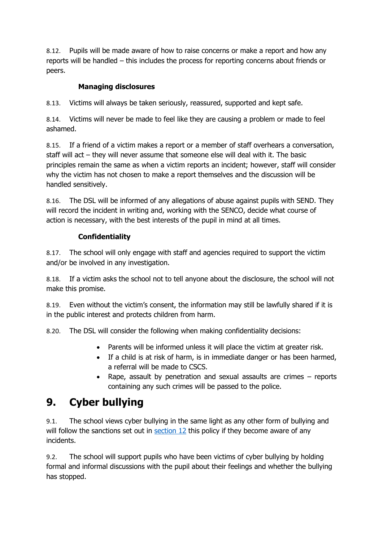8.12. Pupils will be made aware of how to raise concerns or make a report and how any reports will be handled – this includes the process for reporting concerns about friends or peers.

#### **Managing disclosures**

8.13. Victims will always be taken seriously, reassured, supported and kept safe.

8.14. Victims will never be made to feel like they are causing a problem or made to feel ashamed.

8.15. If a friend of a victim makes a report or a member of staff overhears a conversation, staff will act – they will never assume that someone else will deal with it. The basic principles remain the same as when a victim reports an incident; however, staff will consider why the victim has not chosen to make a report themselves and the discussion will be handled sensitively.

8.16. The DSL will be informed of any allegations of abuse against pupils with SEND. They will record the incident in writing and, working with the SENCO, decide what course of action is necessary, with the best interests of the pupil in mind at all times.

#### **Confidentiality**

8.17. The school will only engage with staff and agencies required to support the victim and/or be involved in any investigation.

8.18. If a victim asks the school not to tell anyone about the disclosure, the school will not make this promise.

8.19. Even without the victim's consent, the information may still be lawfully shared if it is in the public interest and protects children from harm.

8.20. The DSL will consider the following when making confidentiality decisions:

- Parents will be informed unless it will place the victim at greater risk.
- If a child is at risk of harm, is in immediate danger or has been harmed, a referral will be made to CSCS.
- Rape, assault by penetration and sexual assaults are crimes reports containing any such crimes will be passed to the police.

#### **9. Cyber bullying**

9.1. The school views cyber bullying in the same light as any other form of bullying and will follow the sanctions set out in  $section 12$  this policy if they become aware of any incidents.

9.2. The school will support pupils who have been victims of cyber bullying by holding formal and informal discussions with the pupil about their feelings and whether the bullying has stopped.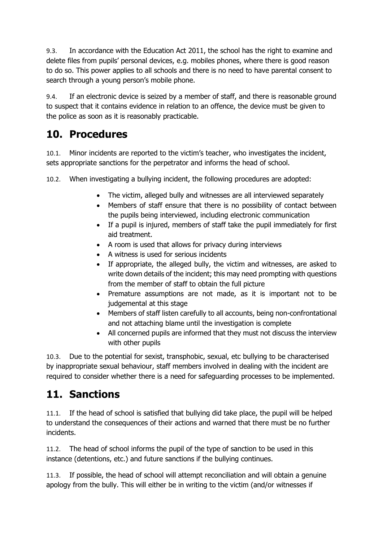9.3. In accordance with the Education Act 2011, the school has the right to examine and delete files from pupils' personal devices, e.g. mobiles phones, where there is good reason to do so. This power applies to all schools and there is no need to have parental consent to search through a young person's mobile phone.

9.4. If an electronic device is seized by a member of staff, and there is reasonable ground to suspect that it contains evidence in relation to an offence, the device must be given to the police as soon as it is reasonably practicable.

#### **10. Procedures**

10.1. Minor incidents are reported to the victim's teacher, who investigates the incident, sets appropriate sanctions for the perpetrator and informs the head of school.

10.2. When investigating a bullying incident, the following procedures are adopted:

- The victim, alleged bully and witnesses are all interviewed separately
- Members of staff ensure that there is no possibility of contact between the pupils being interviewed, including electronic communication
- If a pupil is injured, members of staff take the pupil immediately for first aid treatment.
- A room is used that allows for privacy during interviews
- A witness is used for serious incidents
- If appropriate, the alleged bully, the victim and witnesses, are asked to write down details of the incident; this may need prompting with questions from the member of staff to obtain the full picture
- Premature assumptions are not made, as it is important not to be judgemental at this stage
- Members of staff listen carefully to all accounts, being non-confrontational and not attaching blame until the investigation is complete
- All concerned pupils are informed that they must not discuss the interview with other pupils

10.3. Due to the potential for sexist, transphobic, sexual, etc bullying to be characterised by inappropriate sexual behaviour, staff members involved in dealing with the incident are required to consider whether there is a need for safeguarding processes to be implemented.

#### **11. Sanctions**

11.1. If the head of school is satisfied that bullying did take place, the pupil will be helped to understand the consequences of their actions and warned that there must be no further incidents.

11.2. The head of school informs the pupil of the type of sanction to be used in this instance (detentions, etc.) and future sanctions if the bullying continues.

11.3. If possible, the head of school will attempt reconciliation and will obtain a genuine apology from the bully. This will either be in writing to the victim (and/or witnesses if